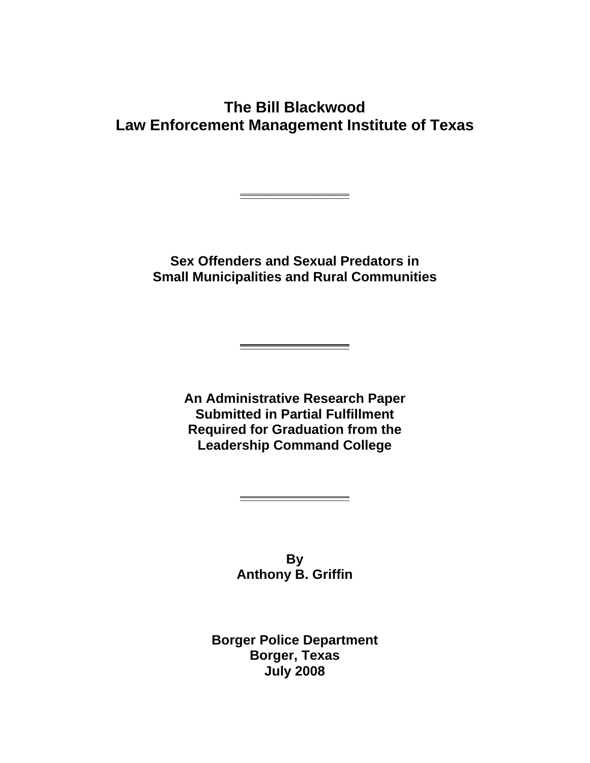## **The Bill Blackwood Law Enforcement Management Institute of Texas**

**Sex Offenders and Sexual Predators in Small Municipalities and Rural Communities** 

**\_\_\_\_\_\_\_\_\_\_\_\_\_\_\_\_\_**

**An Administrative Research Paper Submitted in Partial Fulfillment Required for Graduation from the Leadership Command College**

**\_\_\_\_\_\_\_\_\_\_\_\_\_\_\_\_\_**

**By Anthony B. Griffin**

**\_\_\_\_\_\_\_\_\_\_\_\_\_\_\_\_\_**

**Borger Police Department Borger, Texas July 2008**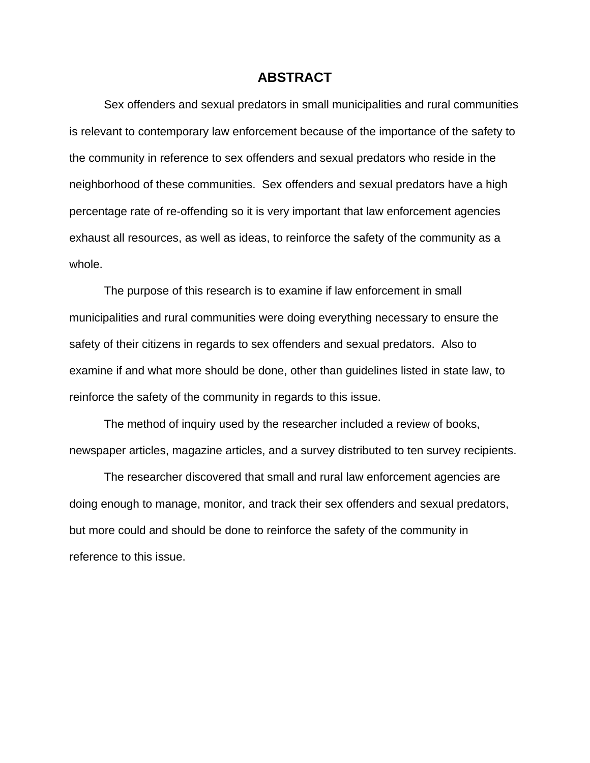## **ABSTRACT**

Sex offenders and sexual predators in small municipalities and rural communities is relevant to contemporary law enforcement because of the importance of the safety to the community in reference to sex offenders and sexual predators who reside in the neighborhood of these communities. Sex offenders and sexual predators have a high percentage rate of re-offending so it is very important that law enforcement agencies exhaust all resources, as well as ideas, to reinforce the safety of the community as a whole.

The purpose of this research is to examine if law enforcement in small municipalities and rural communities were doing everything necessary to ensure the safety of their citizens in regards to sex offenders and sexual predators. Also to examine if and what more should be done, other than guidelines listed in state law, to reinforce the safety of the community in regards to this issue.

The method of inquiry used by the researcher included a review of books, newspaper articles, magazine articles, and a survey distributed to ten survey recipients.

The researcher discovered that small and rural law enforcement agencies are doing enough to manage, monitor, and track their sex offenders and sexual predators, but more could and should be done to reinforce the safety of the community in reference to this issue.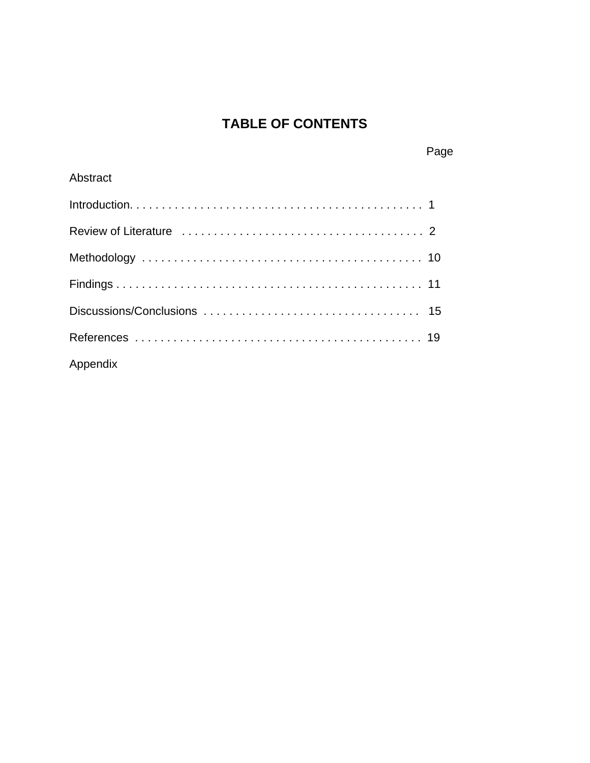# **TABLE OF CONTENTS**

Page

| Abstract |
|----------|
|          |
|          |
|          |
|          |
|          |
|          |
| Appendix |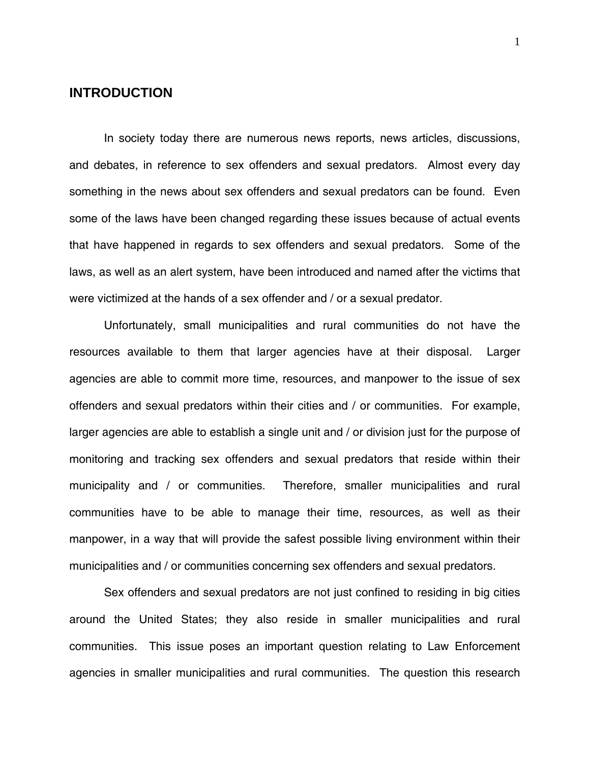## **INTRODUCTION**

 In society today there are numerous news reports, news articles, discussions, and debates, in reference to sex offenders and sexual predators. Almost every day something in the news about sex offenders and sexual predators can be found. Even some of the laws have been changed regarding these issues because of actual events that have happened in regards to sex offenders and sexual predators. Some of the laws, as well as an alert system, have been introduced and named after the victims that were victimized at the hands of a sex offender and / or a sexual predator.

 Unfortunately, small municipalities and rural communities do not have the resources available to them that larger agencies have at their disposal. Larger agencies are able to commit more time, resources, and manpower to the issue of sex offenders and sexual predators within their cities and / or communities. For example, larger agencies are able to establish a single unit and / or division just for the purpose of monitoring and tracking sex offenders and sexual predators that reside within their municipality and / or communities. Therefore, smaller municipalities and rural communities have to be able to manage their time, resources, as well as their manpower, in a way that will provide the safest possible living environment within their municipalities and / or communities concerning sex offenders and sexual predators.

Sex offenders and sexual predators are not just confined to residing in big cities around the United States; they also reside in smaller municipalities and rural communities. This issue poses an important question relating to Law Enforcement agencies in smaller municipalities and rural communities. The question this research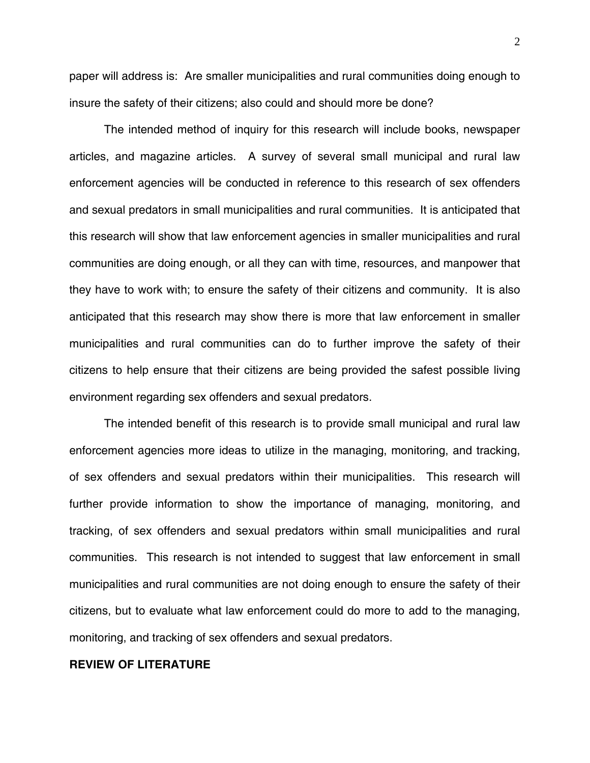paper will address is: Are smaller municipalities and rural communities doing enough to insure the safety of their citizens; also could and should more be done?

The intended method of inquiry for this research will include books, newspaper articles, and magazine articles. A survey of several small municipal and rural law enforcement agencies will be conducted in reference to this research of sex offenders and sexual predators in small municipalities and rural communities. It is anticipated that this research will show that law enforcement agencies in smaller municipalities and rural communities are doing enough, or all they can with time, resources, and manpower that they have to work with; to ensure the safety of their citizens and community. It is also anticipated that this research may show there is more that law enforcement in smaller municipalities and rural communities can do to further improve the safety of their citizens to help ensure that their citizens are being provided the safest possible living environment regarding sex offenders and sexual predators.

The intended benefit of this research is to provide small municipal and rural law enforcement agencies more ideas to utilize in the managing, monitoring, and tracking, of sex offenders and sexual predators within their municipalities. This research will further provide information to show the importance of managing, monitoring, and tracking, of sex offenders and sexual predators within small municipalities and rural communities. This research is not intended to suggest that law enforcement in small municipalities and rural communities are not doing enough to ensure the safety of their citizens, but to evaluate what law enforcement could do more to add to the managing, monitoring, and tracking of sex offenders and sexual predators.

#### **REVIEW OF LITERATURE**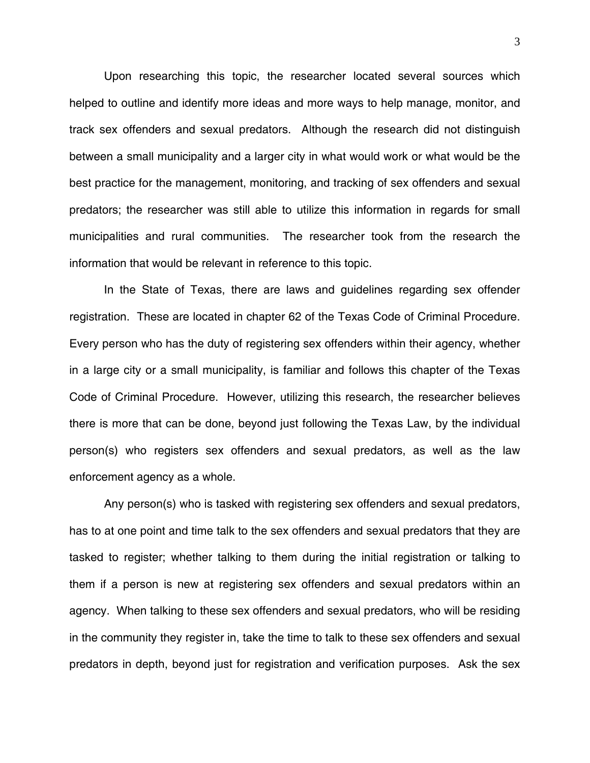Upon researching this topic, the researcher located several sources which helped to outline and identify more ideas and more ways to help manage, monitor, and track sex offenders and sexual predators. Although the research did not distinguish between a small municipality and a larger city in what would work or what would be the best practice for the management, monitoring, and tracking of sex offenders and sexual predators; the researcher was still able to utilize this information in regards for small municipalities and rural communities. The researcher took from the research the information that would be relevant in reference to this topic.

 In the State of Texas, there are laws and guidelines regarding sex offender registration. These are located in chapter 62 of the Texas Code of Criminal Procedure. Every person who has the duty of registering sex offenders within their agency, whether in a large city or a small municipality, is familiar and follows this chapter of the Texas Code of Criminal Procedure. However, utilizing this research, the researcher believes there is more that can be done, beyond just following the Texas Law, by the individual person(s) who registers sex offenders and sexual predators, as well as the law enforcement agency as a whole.

 Any person(s) who is tasked with registering sex offenders and sexual predators, has to at one point and time talk to the sex offenders and sexual predators that they are tasked to register; whether talking to them during the initial registration or talking to them if a person is new at registering sex offenders and sexual predators within an agency. When talking to these sex offenders and sexual predators, who will be residing in the community they register in, take the time to talk to these sex offenders and sexual predators in depth, beyond just for registration and verification purposes. Ask the sex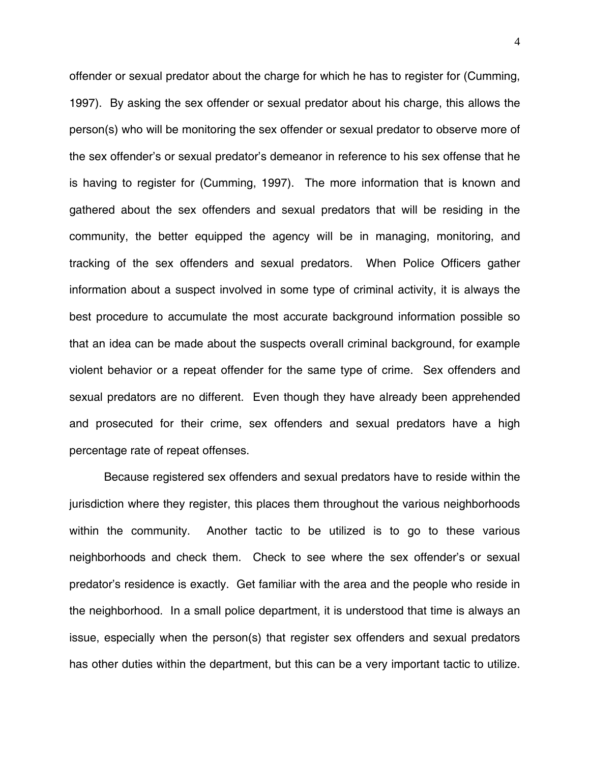offender or sexual predator about the charge for which he has to register for (Cumming, 1997). By asking the sex offender or sexual predator about his charge, this allows the person(s) who will be monitoring the sex offender or sexual predator to observe more of the sex offender's or sexual predator's demeanor in reference to his sex offense that he is having to register for (Cumming, 1997). The more information that is known and gathered about the sex offenders and sexual predators that will be residing in the community, the better equipped the agency will be in managing, monitoring, and tracking of the sex offenders and sexual predators. When Police Officers gather information about a suspect involved in some type of criminal activity, it is always the best procedure to accumulate the most accurate background information possible so that an idea can be made about the suspects overall criminal background, for example violent behavior or a repeat offender for the same type of crime. Sex offenders and sexual predators are no different. Even though they have already been apprehended and prosecuted for their crime, sex offenders and sexual predators have a high percentage rate of repeat offenses.

 Because registered sex offenders and sexual predators have to reside within the jurisdiction where they register, this places them throughout the various neighborhoods within the community. Another tactic to be utilized is to go to these various neighborhoods and check them. Check to see where the sex offender's or sexual predator's residence is exactly. Get familiar with the area and the people who reside in the neighborhood. In a small police department, it is understood that time is always an issue, especially when the person(s) that register sex offenders and sexual predators has other duties within the department, but this can be a very important tactic to utilize.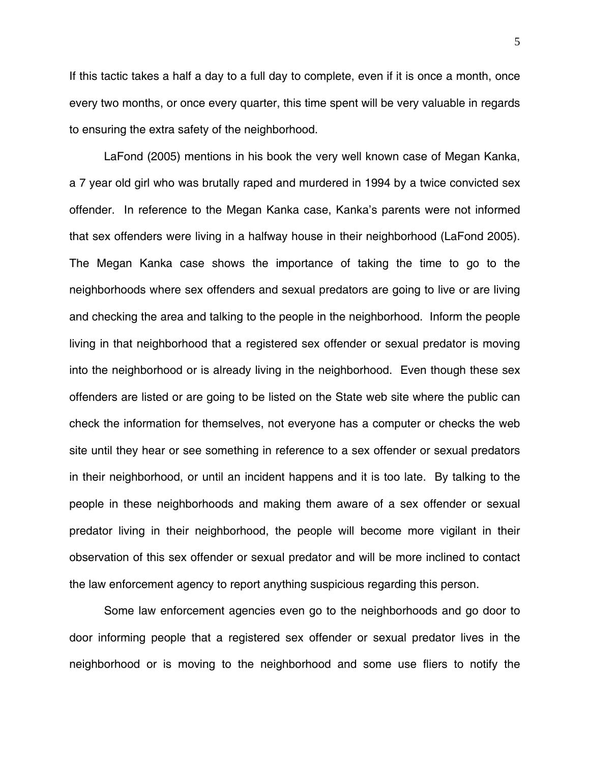If this tactic takes a half a day to a full day to complete, even if it is once a month, once every two months, or once every quarter, this time spent will be very valuable in regards to ensuring the extra safety of the neighborhood.

LaFond (2005) mentions in his book the very well known case of Megan Kanka, a 7 year old girl who was brutally raped and murdered in 1994 by a twice convicted sex offender. In reference to the Megan Kanka case, Kanka's parents were not informed that sex offenders were living in a halfway house in their neighborhood (LaFond 2005). The Megan Kanka case shows the importance of taking the time to go to the neighborhoods where sex offenders and sexual predators are going to live or are living and checking the area and talking to the people in the neighborhood. Inform the people living in that neighborhood that a registered sex offender or sexual predator is moving into the neighborhood or is already living in the neighborhood. Even though these sex offenders are listed or are going to be listed on the State web site where the public can check the information for themselves, not everyone has a computer or checks the web site until they hear or see something in reference to a sex offender or sexual predators in their neighborhood, or until an incident happens and it is too late. By talking to the people in these neighborhoods and making them aware of a sex offender or sexual predator living in their neighborhood, the people will become more vigilant in their observation of this sex offender or sexual predator and will be more inclined to contact the law enforcement agency to report anything suspicious regarding this person.

Some law enforcement agencies even go to the neighborhoods and go door to door informing people that a registered sex offender or sexual predator lives in the neighborhood or is moving to the neighborhood and some use fliers to notify the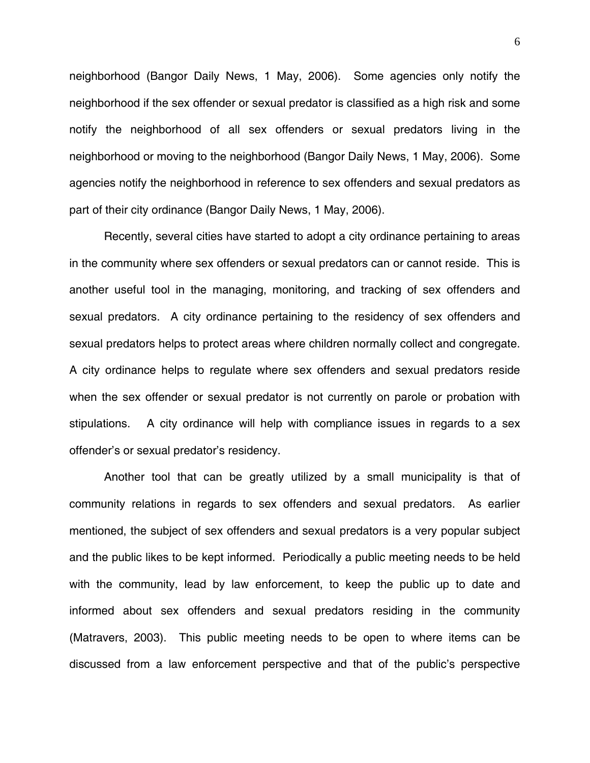neighborhood (Bangor Daily News, 1 May, 2006). Some agencies only notify the neighborhood if the sex offender or sexual predator is classified as a high risk and some notify the neighborhood of all sex offenders or sexual predators living in the neighborhood or moving to the neighborhood (Bangor Daily News, 1 May, 2006). Some agencies notify the neighborhood in reference to sex offenders and sexual predators as part of their city ordinance (Bangor Daily News, 1 May, 2006).

Recently, several cities have started to adopt a city ordinance pertaining to areas in the community where sex offenders or sexual predators can or cannot reside. This is another useful tool in the managing, monitoring, and tracking of sex offenders and sexual predators. A city ordinance pertaining to the residency of sex offenders and sexual predators helps to protect areas where children normally collect and congregate. A city ordinance helps to regulate where sex offenders and sexual predators reside when the sex offender or sexual predator is not currently on parole or probation with stipulations. A city ordinance will help with compliance issues in regards to a sex offender's or sexual predator's residency.

Another tool that can be greatly utilized by a small municipality is that of community relations in regards to sex offenders and sexual predators. As earlier mentioned, the subject of sex offenders and sexual predators is a very popular subject and the public likes to be kept informed. Periodically a public meeting needs to be held with the community, lead by law enforcement, to keep the public up to date and informed about sex offenders and sexual predators residing in the community (Matravers, 2003). This public meeting needs to be open to where items can be discussed from a law enforcement perspective and that of the public's perspective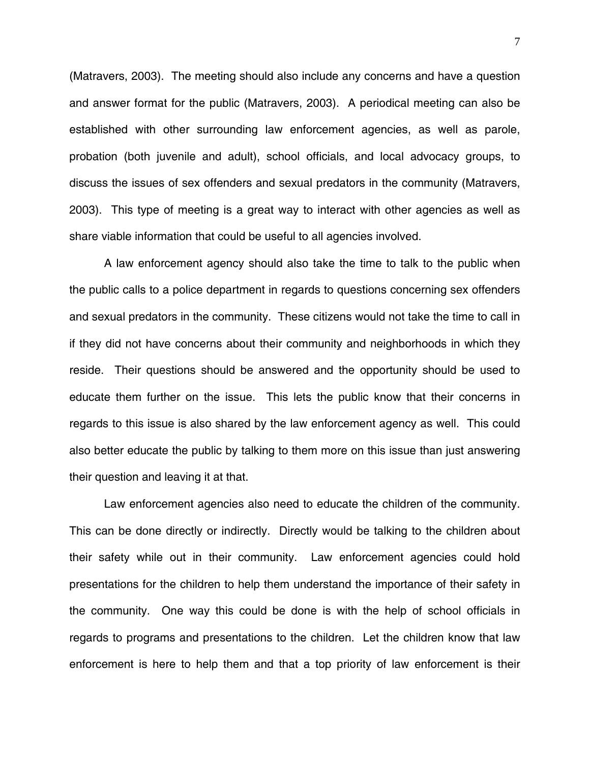(Matravers, 2003). The meeting should also include any concerns and have a question and answer format for the public (Matravers, 2003). A periodical meeting can also be established with other surrounding law enforcement agencies, as well as parole, probation (both juvenile and adult), school officials, and local advocacy groups, to discuss the issues of sex offenders and sexual predators in the community (Matravers, 2003). This type of meeting is a great way to interact with other agencies as well as share viable information that could be useful to all agencies involved.

A law enforcement agency should also take the time to talk to the public when the public calls to a police department in regards to questions concerning sex offenders and sexual predators in the community. These citizens would not take the time to call in if they did not have concerns about their community and neighborhoods in which they reside. Their questions should be answered and the opportunity should be used to educate them further on the issue. This lets the public know that their concerns in regards to this issue is also shared by the law enforcement agency as well. This could also better educate the public by talking to them more on this issue than just answering their question and leaving it at that.

Law enforcement agencies also need to educate the children of the community. This can be done directly or indirectly. Directly would be talking to the children about their safety while out in their community. Law enforcement agencies could hold presentations for the children to help them understand the importance of their safety in the community. One way this could be done is with the help of school officials in regards to programs and presentations to the children. Let the children know that law enforcement is here to help them and that a top priority of law enforcement is their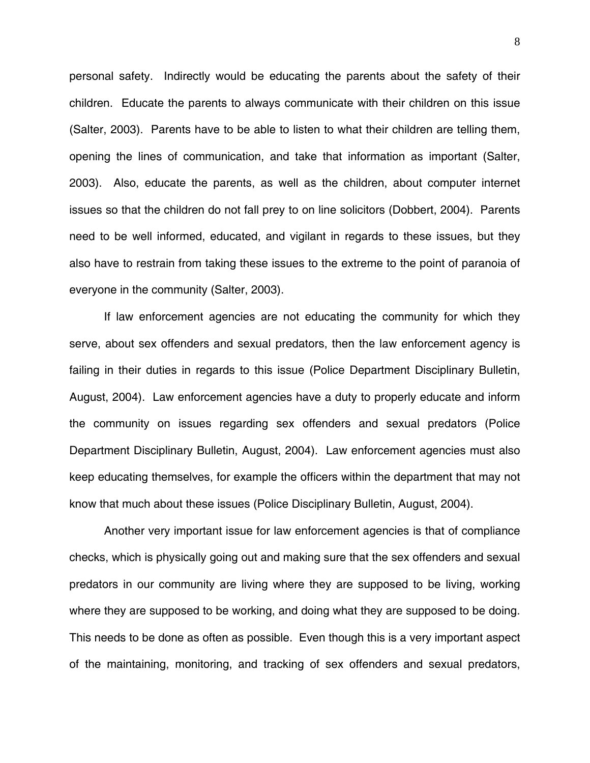personal safety. Indirectly would be educating the parents about the safety of their children. Educate the parents to always communicate with their children on this issue (Salter, 2003). Parents have to be able to listen to what their children are telling them, opening the lines of communication, and take that information as important (Salter, 2003). Also, educate the parents, as well as the children, about computer internet issues so that the children do not fall prey to on line solicitors (Dobbert, 2004). Parents need to be well informed, educated, and vigilant in regards to these issues, but they also have to restrain from taking these issues to the extreme to the point of paranoia of everyone in the community (Salter, 2003).

If law enforcement agencies are not educating the community for which they serve, about sex offenders and sexual predators, then the law enforcement agency is failing in their duties in regards to this issue (Police Department Disciplinary Bulletin, August, 2004). Law enforcement agencies have a duty to properly educate and inform the community on issues regarding sex offenders and sexual predators (Police Department Disciplinary Bulletin, August, 2004). Law enforcement agencies must also keep educating themselves, for example the officers within the department that may not know that much about these issues (Police Disciplinary Bulletin, August, 2004).

Another very important issue for law enforcement agencies is that of compliance checks, which is physically going out and making sure that the sex offenders and sexual predators in our community are living where they are supposed to be living, working where they are supposed to be working, and doing what they are supposed to be doing. This needs to be done as often as possible. Even though this is a very important aspect of the maintaining, monitoring, and tracking of sex offenders and sexual predators,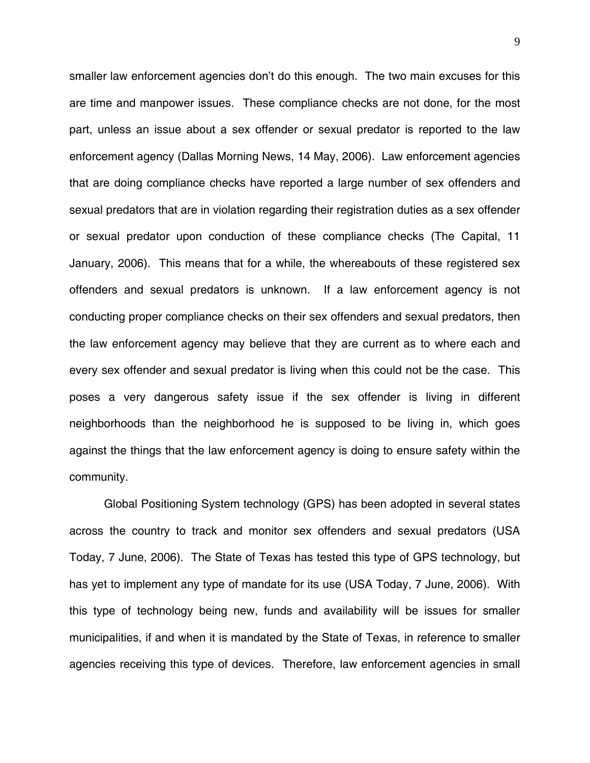smaller law enforcement agencies don't do this enough. The two main excuses for this are time and manpower issues. These compliance checks are not done, for the most part, unless an issue about a sex offender or sexual predator is reported to the law enforcement agency (Dallas Morning News, 14 May, 2006). Law enforcement agencies that are doing compliance checks have reported a large number of sex offenders and sexual predators that are in violation regarding their registration duties as a sex offender or sexual predator upon conduction of these compliance checks (The Capital, 11 January, 2006). This means that for a while, the whereabouts of these registered sex offenders and sexual predators is unknown. If a law enforcement agency is not conducting proper compliance checks on their sex offenders and sexual predators, then the law enforcement agency may believe that they are current as to where each and every sex offender and sexual predator is living when this could not be the case. This poses a very dangerous safety issue if the sex offender is living in different neighborhoods than the neighborhood he is supposed to be living in, which goes against the things that the law enforcement agency is doing to ensure safety within the community.

Global Positioning System technology (GPS) has been adopted in several states across the country to track and monitor sex offenders and sexual predators (USA Today, 7 June, 2006). The State of Texas has tested this type of GPS technology, but has yet to implement any type of mandate for its use (USA Today, 7 June, 2006). With this type of technology being new, funds and availability will be issues for smaller municipalities, if and when it is mandated by the State of Texas, in reference to smaller agencies receiving this type of devices. Therefore, law enforcement agencies in small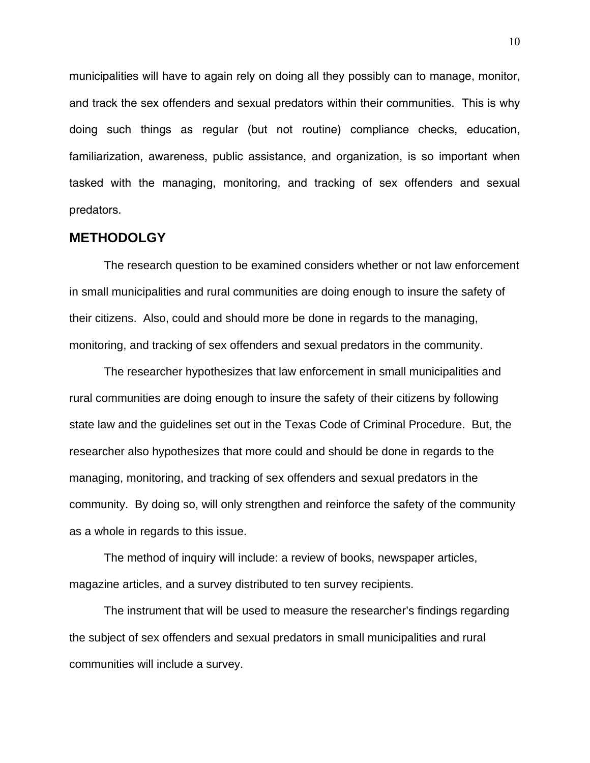municipalities will have to again rely on doing all they possibly can to manage, monitor, and track the sex offenders and sexual predators within their communities. This is why doing such things as regular (but not routine) compliance checks, education, familiarization, awareness, public assistance, and organization, is so important when tasked with the managing, monitoring, and tracking of sex offenders and sexual predators.

#### **METHODOLGY**

The research question to be examined considers whether or not law enforcement in small municipalities and rural communities are doing enough to insure the safety of their citizens. Also, could and should more be done in regards to the managing, monitoring, and tracking of sex offenders and sexual predators in the community.

The researcher hypothesizes that law enforcement in small municipalities and rural communities are doing enough to insure the safety of their citizens by following state law and the guidelines set out in the Texas Code of Criminal Procedure. But, the researcher also hypothesizes that more could and should be done in regards to the managing, monitoring, and tracking of sex offenders and sexual predators in the community. By doing so, will only strengthen and reinforce the safety of the community as a whole in regards to this issue.

The method of inquiry will include: a review of books, newspaper articles, magazine articles, and a survey distributed to ten survey recipients.

The instrument that will be used to measure the researcher's findings regarding the subject of sex offenders and sexual predators in small municipalities and rural communities will include a survey.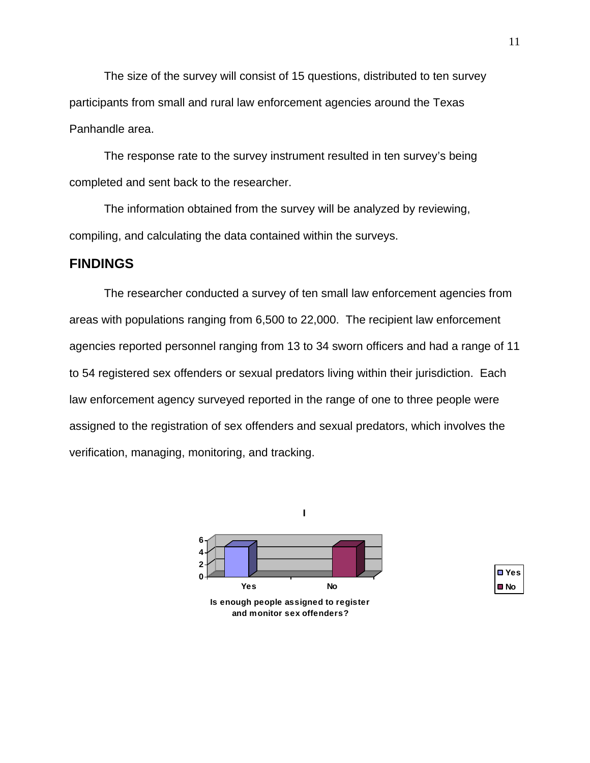The size of the survey will consist of 15 questions, distributed to ten survey participants from small and rural law enforcement agencies around the Texas Panhandle area.

The response rate to the survey instrument resulted in ten survey's being completed and sent back to the researcher.

The information obtained from the survey will be analyzed by reviewing, compiling, and calculating the data contained within the surveys.

## **FINDINGS**

The researcher conducted a survey of ten small law enforcement agencies from areas with populations ranging from 6,500 to 22,000. The recipient law enforcement agencies reported personnel ranging from 13 to 34 sworn officers and had a range of 11 to 54 registered sex offenders or sexual predators living within their jurisdiction. Each law enforcement agency surveyed reported in the range of one to three people were assigned to the registration of sex offenders and sexual predators, which involves the verification, managing, monitoring, and tracking.



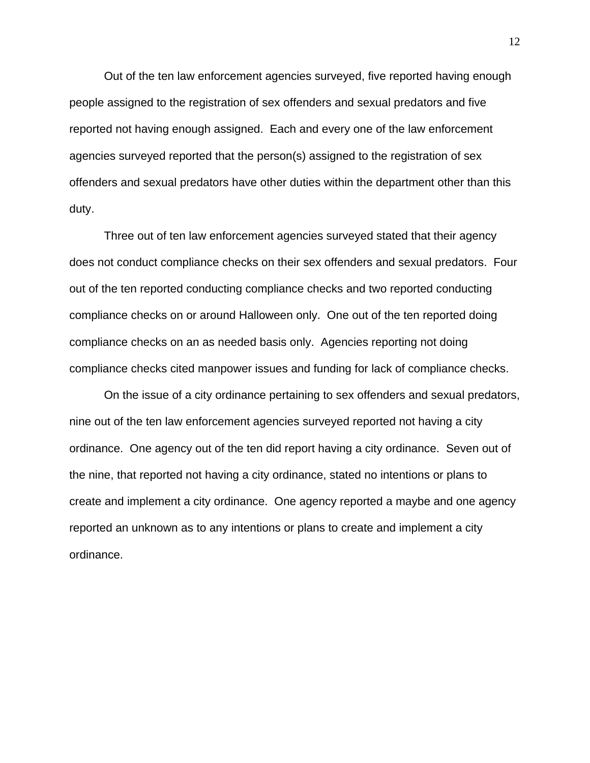Out of the ten law enforcement agencies surveyed, five reported having enough people assigned to the registration of sex offenders and sexual predators and five reported not having enough assigned. Each and every one of the law enforcement agencies surveyed reported that the person(s) assigned to the registration of sex offenders and sexual predators have other duties within the department other than this duty.

Three out of ten law enforcement agencies surveyed stated that their agency does not conduct compliance checks on their sex offenders and sexual predators. Four out of the ten reported conducting compliance checks and two reported conducting compliance checks on or around Halloween only. One out of the ten reported doing compliance checks on an as needed basis only. Agencies reporting not doing compliance checks cited manpower issues and funding for lack of compliance checks.

 On the issue of a city ordinance pertaining to sex offenders and sexual predators, nine out of the ten law enforcement agencies surveyed reported not having a city ordinance. One agency out of the ten did report having a city ordinance. Seven out of the nine, that reported not having a city ordinance, stated no intentions or plans to create and implement a city ordinance. One agency reported a maybe and one agency reported an unknown as to any intentions or plans to create and implement a city ordinance.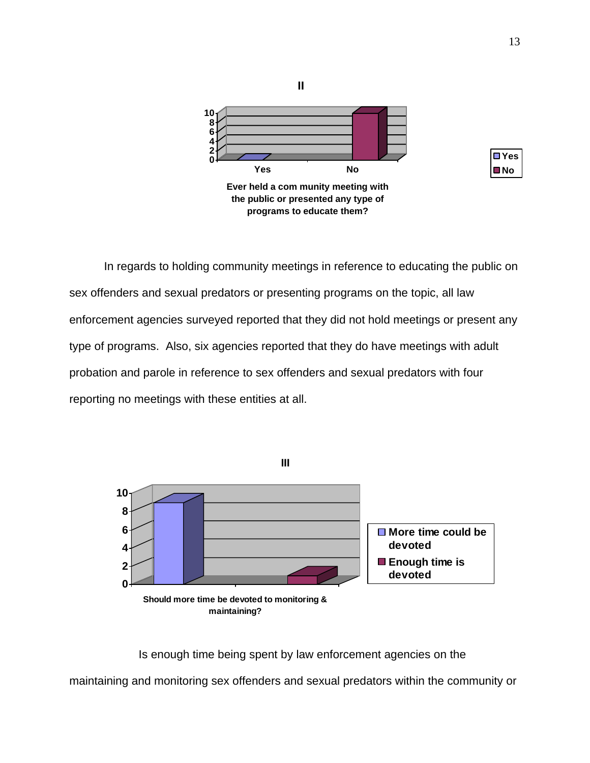

In regards to holding community meetings in reference to educating the public on sex offenders and sexual predators or presenting programs on the topic, all law enforcement agencies surveyed reported that they did not hold meetings or present any type of programs. Also, six agencies reported that they do have meetings with adult probation and parole in reference to sex offenders and sexual predators with four reporting no meetings with these entities at all.



 Is enough time being spent by law enforcement agencies on the maintaining and monitoring sex offenders and sexual predators within the community or

**Yes No**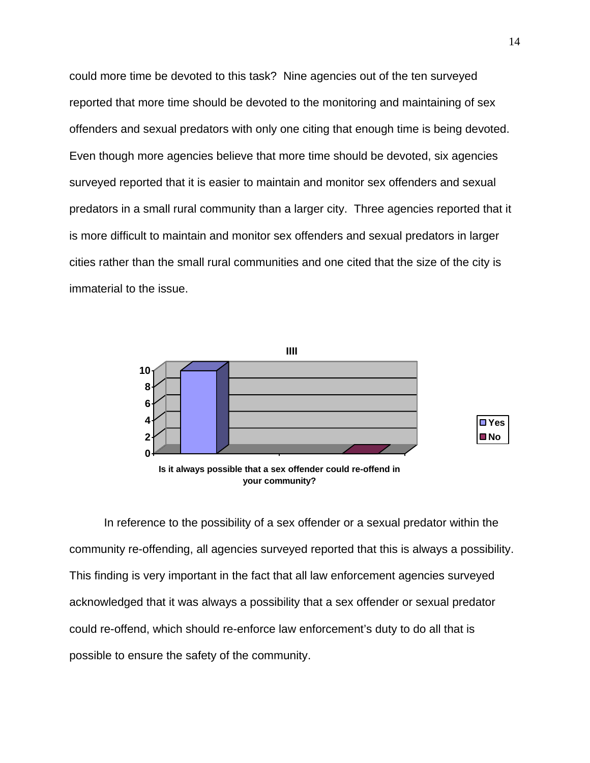could more time be devoted to this task? Nine agencies out of the ten surveyed reported that more time should be devoted to the monitoring and maintaining of sex offenders and sexual predators with only one citing that enough time is being devoted. Even though more agencies believe that more time should be devoted, six agencies surveyed reported that it is easier to maintain and monitor sex offenders and sexual predators in a small rural community than a larger city. Three agencies reported that it is more difficult to maintain and monitor sex offenders and sexual predators in larger cities rather than the small rural communities and one cited that the size of the city is immaterial to the issue.





**Is it always possible that a sex offender could re-offend in your community?**

 In reference to the possibility of a sex offender or a sexual predator within the community re-offending, all agencies surveyed reported that this is always a possibility. This finding is very important in the fact that all law enforcement agencies surveyed acknowledged that it was always a possibility that a sex offender or sexual predator could re-offend, which should re-enforce law enforcement's duty to do all that is possible to ensure the safety of the community.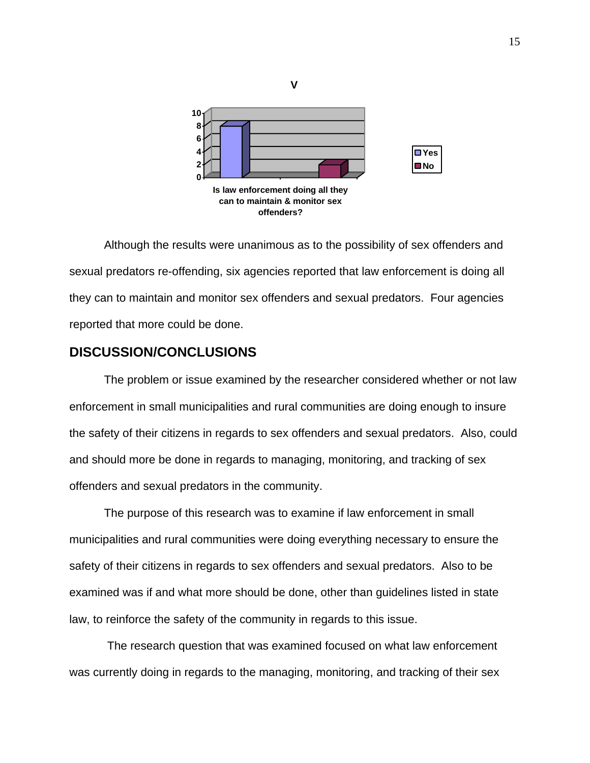

 Although the results were unanimous as to the possibility of sex offenders and sexual predators re-offending, six agencies reported that law enforcement is doing all they can to maintain and monitor sex offenders and sexual predators. Four agencies reported that more could be done.

## **DISCUSSION/CONCLUSIONS**

The problem or issue examined by the researcher considered whether or not law enforcement in small municipalities and rural communities are doing enough to insure the safety of their citizens in regards to sex offenders and sexual predators. Also, could and should more be done in regards to managing, monitoring, and tracking of sex offenders and sexual predators in the community.

The purpose of this research was to examine if law enforcement in small municipalities and rural communities were doing everything necessary to ensure the safety of their citizens in regards to sex offenders and sexual predators. Also to be examined was if and what more should be done, other than guidelines listed in state law, to reinforce the safety of the community in regards to this issue.

 The research question that was examined focused on what law enforcement was currently doing in regards to the managing, monitoring, and tracking of their sex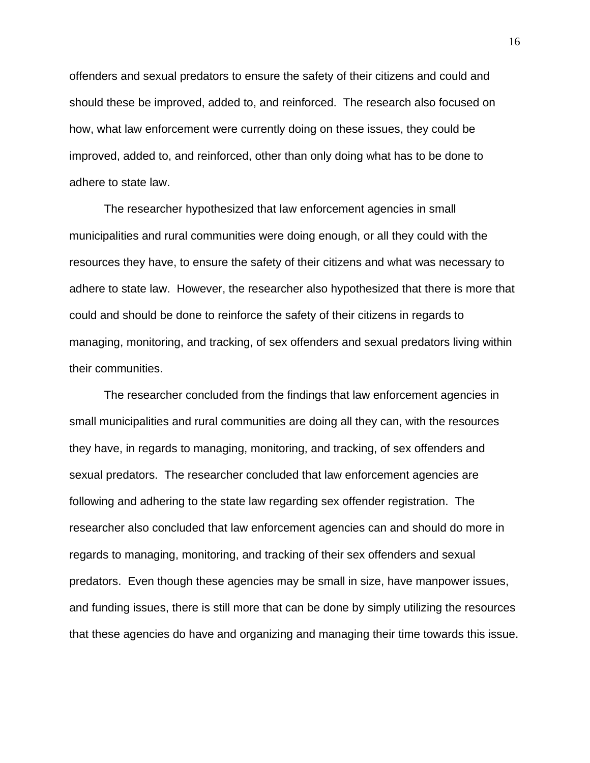offenders and sexual predators to ensure the safety of their citizens and could and should these be improved, added to, and reinforced. The research also focused on how, what law enforcement were currently doing on these issues, they could be improved, added to, and reinforced, other than only doing what has to be done to adhere to state law.

The researcher hypothesized that law enforcement agencies in small municipalities and rural communities were doing enough, or all they could with the resources they have, to ensure the safety of their citizens and what was necessary to adhere to state law. However, the researcher also hypothesized that there is more that could and should be done to reinforce the safety of their citizens in regards to managing, monitoring, and tracking, of sex offenders and sexual predators living within their communities.

The researcher concluded from the findings that law enforcement agencies in small municipalities and rural communities are doing all they can, with the resources they have, in regards to managing, monitoring, and tracking, of sex offenders and sexual predators. The researcher concluded that law enforcement agencies are following and adhering to the state law regarding sex offender registration. The researcher also concluded that law enforcement agencies can and should do more in regards to managing, monitoring, and tracking of their sex offenders and sexual predators. Even though these agencies may be small in size, have manpower issues, and funding issues, there is still more that can be done by simply utilizing the resources that these agencies do have and organizing and managing their time towards this issue.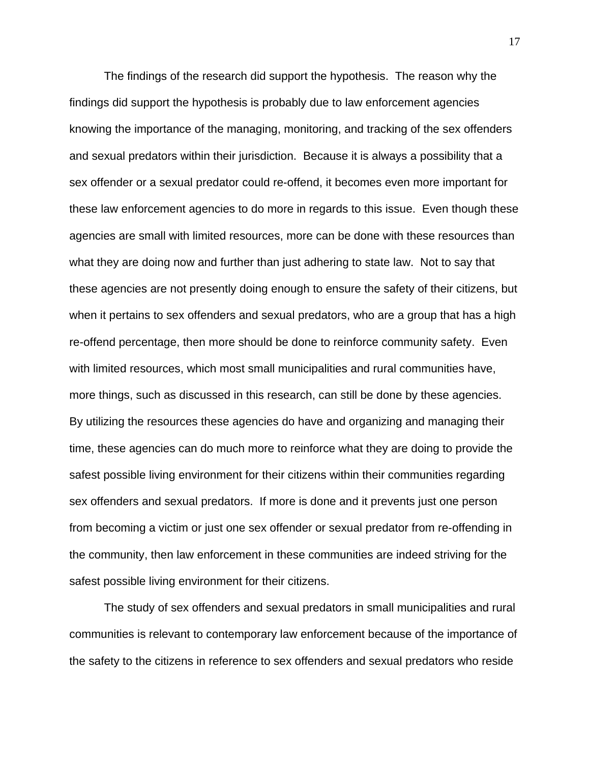The findings of the research did support the hypothesis. The reason why the findings did support the hypothesis is probably due to law enforcement agencies knowing the importance of the managing, monitoring, and tracking of the sex offenders and sexual predators within their jurisdiction. Because it is always a possibility that a sex offender or a sexual predator could re-offend, it becomes even more important for these law enforcement agencies to do more in regards to this issue. Even though these agencies are small with limited resources, more can be done with these resources than what they are doing now and further than just adhering to state law. Not to say that these agencies are not presently doing enough to ensure the safety of their citizens, but when it pertains to sex offenders and sexual predators, who are a group that has a high re-offend percentage, then more should be done to reinforce community safety. Even with limited resources, which most small municipalities and rural communities have, more things, such as discussed in this research, can still be done by these agencies. By utilizing the resources these agencies do have and organizing and managing their time, these agencies can do much more to reinforce what they are doing to provide the safest possible living environment for their citizens within their communities regarding sex offenders and sexual predators. If more is done and it prevents just one person from becoming a victim or just one sex offender or sexual predator from re-offending in the community, then law enforcement in these communities are indeed striving for the safest possible living environment for their citizens.

The study of sex offenders and sexual predators in small municipalities and rural communities is relevant to contemporary law enforcement because of the importance of the safety to the citizens in reference to sex offenders and sexual predators who reside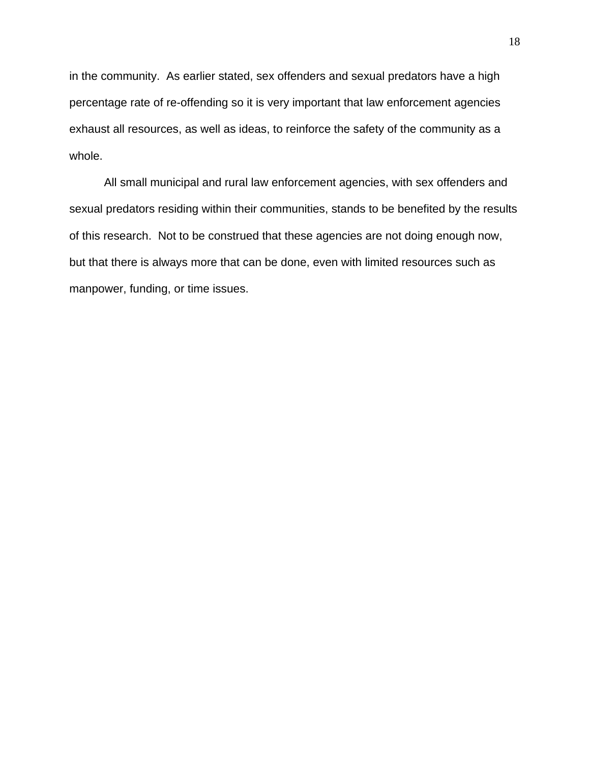in the community. As earlier stated, sex offenders and sexual predators have a high percentage rate of re-offending so it is very important that law enforcement agencies exhaust all resources, as well as ideas, to reinforce the safety of the community as a whole.

All small municipal and rural law enforcement agencies, with sex offenders and sexual predators residing within their communities, stands to be benefited by the results of this research. Not to be construed that these agencies are not doing enough now, but that there is always more that can be done, even with limited resources such as manpower, funding, or time issues.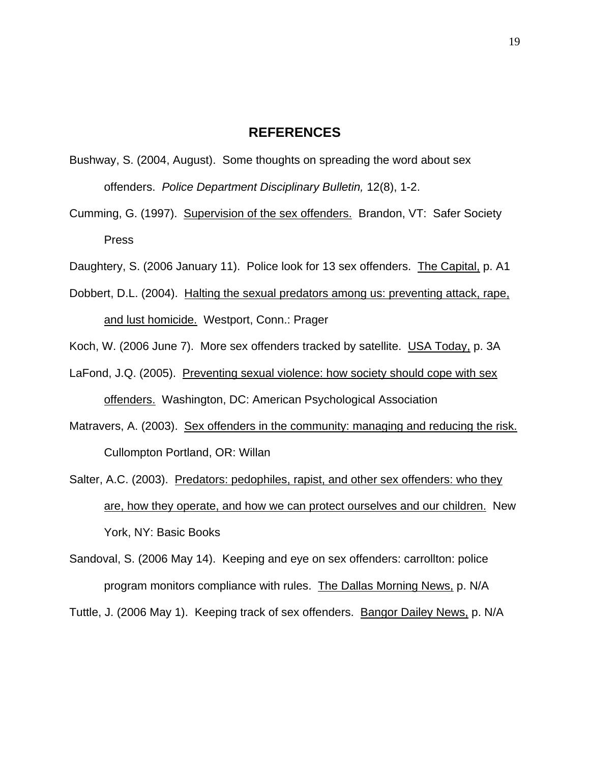## **REFERENCES**

- Bushway, S. (2004, August). Some thoughts on spreading the word about sex offenders. *Police Department Disciplinary Bulletin,* 12(8), 1-2.
- Cumming, G. (1997). Supervision of the sex offenders. Brandon, VT: Safer Society Press

Daughtery, S. (2006 January 11). Police look for 13 sex offenders. The Capital, p. A1

Dobbert, D.L. (2004). Halting the sexual predators among us: preventing attack, rape, and lust homicide. Westport, Conn.: Prager

Koch, W. (2006 June 7). More sex offenders tracked by satellite. USA Today, p. 3A

- LaFond, J.Q. (2005). Preventing sexual violence: how society should cope with sex offenders. Washington, DC: American Psychological Association
- Matravers, A. (2003). Sex offenders in the community: managing and reducing the risk. Cullompton Portland, OR: Willan
- Salter, A.C. (2003). Predators: pedophiles, rapist, and other sex offenders: who they are, how they operate, and how we can protect ourselves and our children. New York, NY: Basic Books
- Sandoval, S. (2006 May 14). Keeping and eye on sex offenders: carrollton: police program monitors compliance with rules. The Dallas Morning News, p. N/A

Tuttle, J. (2006 May 1). Keeping track of sex offenders. Bangor Dailey News, p. N/A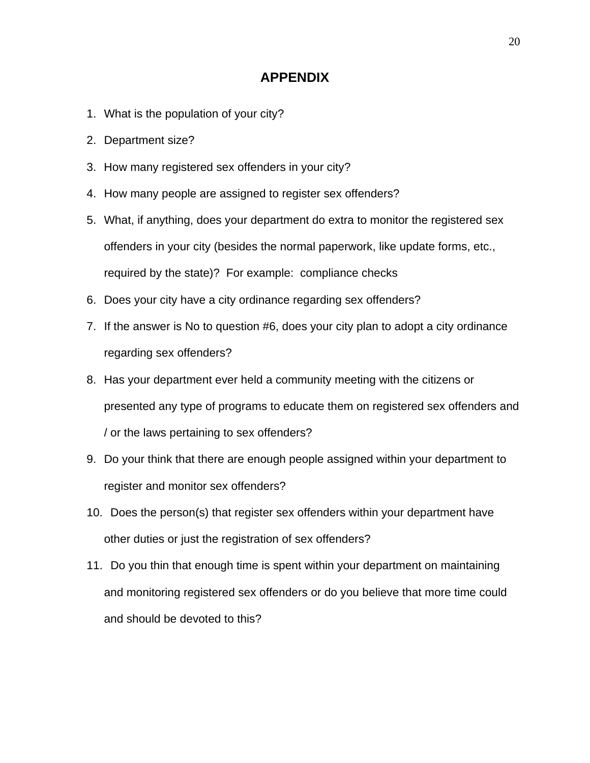## **APPENDIX**

- 1. What is the population of your city?
- 2. Department size?
- 3. How many registered sex offenders in your city?
- 4. How many people are assigned to register sex offenders?
- 5. What, if anything, does your department do extra to monitor the registered sex offenders in your city (besides the normal paperwork, like update forms, etc., required by the state)? For example: compliance checks
- 6. Does your city have a city ordinance regarding sex offenders?
- 7. If the answer is No to question #6, does your city plan to adopt a city ordinance regarding sex offenders?
- 8. Has your department ever held a community meeting with the citizens or presented any type of programs to educate them on registered sex offenders and / or the laws pertaining to sex offenders?
- 9. Do your think that there are enough people assigned within your department to register and monitor sex offenders?
- 10. Does the person(s) that register sex offenders within your department have other duties or just the registration of sex offenders?
- 11. Do you thin that enough time is spent within your department on maintaining and monitoring registered sex offenders or do you believe that more time could and should be devoted to this?